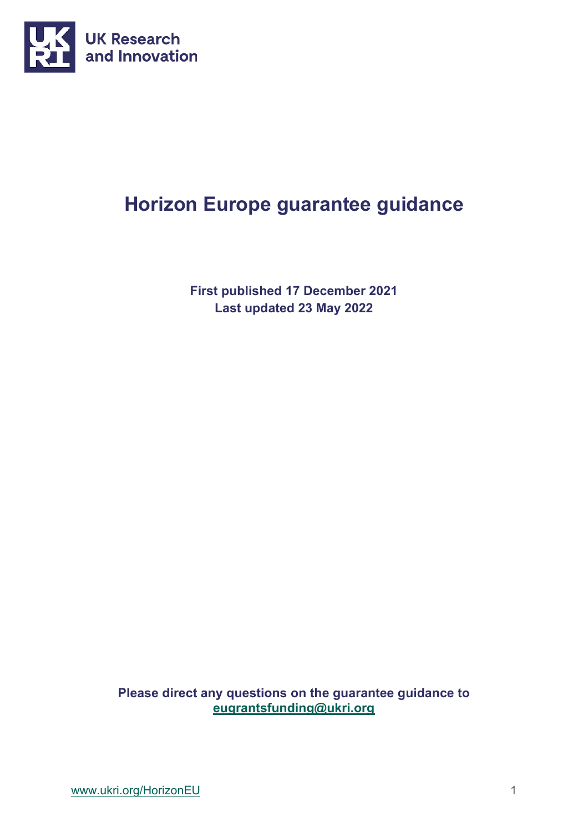

# **Horizon Europe guarantee guidance**

**First published 17 December 2021 Last updated 23 May 2022**

**Please direct any questions on the guarantee guidance to [eugrantsfunding@ukri.org](mailto:eugrantsfunding@ukri.org)**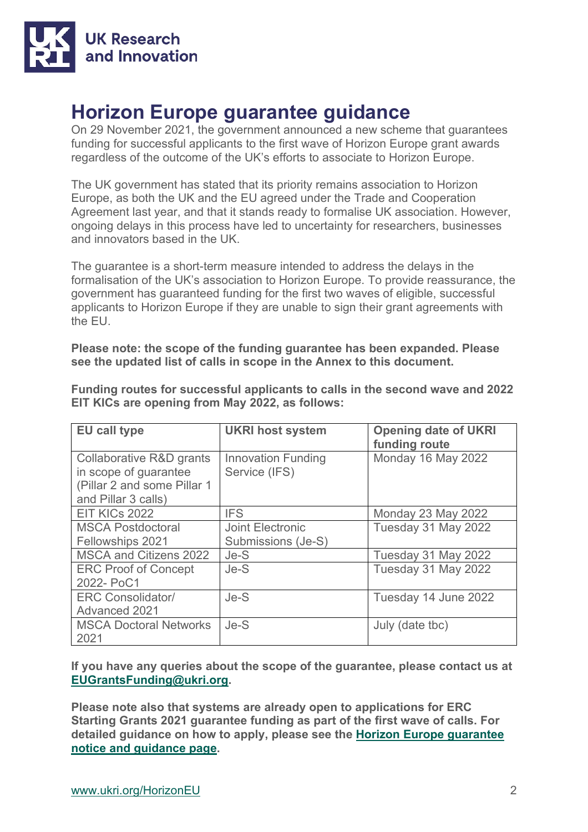

# **Horizon Europe guarantee guidance**

On 29 November 2021, the government announced a new scheme that guarantees funding for successful applicants to the first wave of Horizon Europe grant awards regardless of the outcome of the UK's efforts to associate to Horizon Europe.

The UK government has stated that its priority remains association to Horizon Europe, as both the UK and the EU agreed under the Trade and Cooperation Agreement last year, and that it stands ready to formalise UK association. However, ongoing delays in this process have led to uncertainty for researchers, businesses and innovators based in the UK.

The guarantee is a short-term measure intended to address the delays in the formalisation of the UK's association to Horizon Europe. To provide reassurance, the government has guaranteed funding for the first two waves of eligible, successful applicants to Horizon Europe if they are unable to sign their grant agreements with the EU.

**Please note: the scope of the funding guarantee has been expanded. Please see the updated list of calls in scope in the Annex to this document.** 

| <b>EU call type</b>                                                                                                | <b>UKRI host system</b>                    | <b>Opening date of UKRI</b><br>funding route |
|--------------------------------------------------------------------------------------------------------------------|--------------------------------------------|----------------------------------------------|
| <b>Collaborative R&amp;D grants</b><br>in scope of guarantee<br>(Pillar 2 and some Pillar 1<br>and Pillar 3 calls) | <b>Innovation Funding</b><br>Service (IFS) | Monday 16 May 2022                           |
| EIT KICs 2022                                                                                                      | <b>IFS</b>                                 | Monday 23 May 2022                           |
| <b>MSCA Postdoctoral</b><br>Fellowships 2021                                                                       | Joint Electronic<br>Submissions (Je-S)     | Tuesday 31 May 2022                          |
| MSCA and Citizens 2022                                                                                             | Je-S                                       | Tuesday 31 May 2022                          |
| <b>ERC Proof of Concept</b><br>2022- PoC1                                                                          | $Je-S$                                     | Tuesday 31 May 2022                          |
| <b>ERC Consolidator/</b><br>Advanced 2021                                                                          | Je-S                                       | Tuesday 14 June 2022                         |
| <b>MSCA Doctoral Networks</b><br>2021                                                                              | $Je-S$                                     | July (date tbc)                              |

**Funding routes for successful applicants to calls in the second wave and 2022 EIT KICs are opening from May 2022, as follows:**

**If you have any queries about the scope of the guarantee, please contact us at [EUGrantsFunding@ukri.org.](mailto:EUGrantsFunding@ukri.org)** 

**Please note also that systems are already open to applications for ERC Starting Grants 2021 guarantee funding as part of the first wave of calls. For detailed guidance on how to apply, please see the [Horizon Europe guarantee](https://www.ukri.org/publications/horizon-europe-guarantee-notice-and-guidance/)  [notice and guidance page.](https://www.ukri.org/publications/horizon-europe-guarantee-notice-and-guidance/)**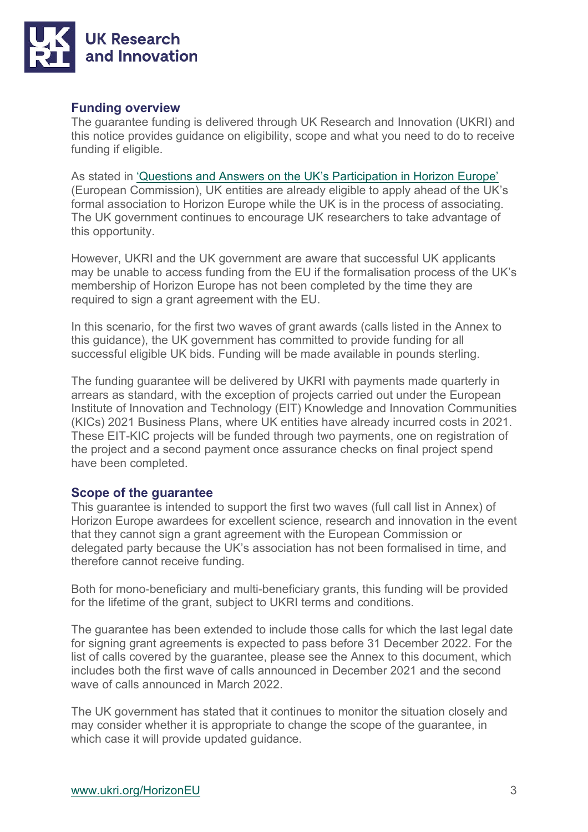

#### **Funding overview**

The guarantee funding is delivered through UK Research and Innovation (UKRI) and this notice provides guidance on eligibility, scope and what you need to do to receive funding if eligible.

As stated in ['Questions and Answers on the UK's Participation in Horizon Europe'](https://ec.europa.eu/info/news/questions-answers-uks-participation-horizon-europe-2021-feb-25_en) (European Commission), UK entities are already eligible to apply ahead of the UK's formal association to Horizon Europe while the UK is in the process of associating. The UK government continues to encourage UK researchers to take advantage of this opportunity.

However, UKRI and the UK government are aware that successful UK applicants may be unable to access funding from the EU if the formalisation process of the UK's membership of Horizon Europe has not been completed by the time they are required to sign a grant agreement with the EU.

In this scenario, for the first two waves of grant awards (calls listed in the Annex to this guidance), the UK government has committed to provide funding for all successful eligible UK bids. Funding will be made available in pounds sterling.

The funding guarantee will be delivered by UKRI with payments made quarterly in arrears as standard, with the exception of projects carried out under the European Institute of Innovation and Technology (EIT) Knowledge and Innovation Communities (KICs) 2021 Business Plans, where UK entities have already incurred costs in 2021. These EIT-KIC projects will be funded through two payments, one on registration of the project and a second payment once assurance checks on final project spend have been completed.

#### **Scope of the guarantee**

This guarantee is intended to support the first two waves (full call list in Annex) of Horizon Europe awardees for excellent science, research and innovation in the event that they cannot sign a grant agreement with the European Commission or delegated party because the UK's association has not been formalised in time, and therefore cannot receive funding.

Both for mono-beneficiary and multi-beneficiary grants, this funding will be provided for the lifetime of the grant, subject to UKRI terms and conditions.

The guarantee has been extended to include those calls for which the last legal date for signing grant agreements is expected to pass before 31 December 2022. For the list of calls covered by the guarantee, please see the Annex to this document, which includes both the first wave of calls announced in December 2021 and the second wave of calls announced in March 2022.

The UK government has stated that it continues to monitor the situation closely and may consider whether it is appropriate to change the scope of the guarantee, in which case it will provide updated guidance.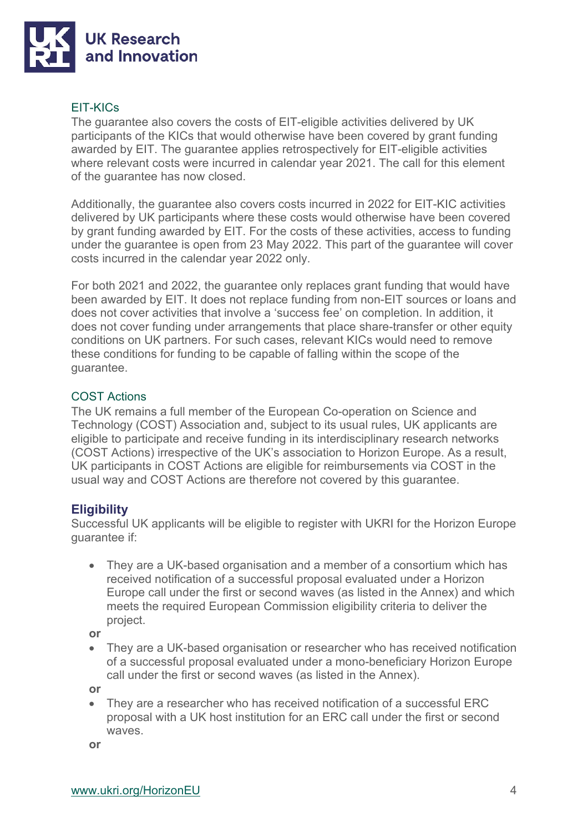

#### EIT-KICs

The guarantee also covers the costs of EIT-eligible activities delivered by UK participants of the KICs that would otherwise have been covered by grant funding awarded by EIT. The guarantee applies retrospectively for EIT-eligible activities where relevant costs were incurred in calendar year 2021. The call for this element of the guarantee has now closed.

Additionally, the guarantee also covers costs incurred in 2022 for EIT-KIC activities delivered by UK participants where these costs would otherwise have been covered by grant funding awarded by EIT. For the costs of these activities, access to funding under the guarantee is open from 23 May 2022. This part of the guarantee will cover costs incurred in the calendar year 2022 only.

For both 2021 and 2022, the guarantee only replaces grant funding that would have been awarded by EIT. It does not replace funding from non-EIT sources or loans and does not cover activities that involve a 'success fee' on completion. In addition, it does not cover funding under arrangements that place share-transfer or other equity conditions on UK partners. For such cases, relevant KICs would need to remove these conditions for funding to be capable of falling within the scope of the guarantee.

#### COST Actions

The UK remains a full member of the European Co-operation on Science and Technology (COST) Association and, subject to its usual rules, UK applicants are eligible to participate and receive funding in its interdisciplinary research networks (COST Actions) irrespective of the UK's association to Horizon Europe. As a result, UK participants in COST Actions are eligible for reimbursements via COST in the usual way and COST Actions are therefore not covered by this guarantee.

#### **Eligibility**

Successful UK applicants will be eligible to register with UKRI for the Horizon Europe guarantee if:

• They are a UK-based organisation and a member of a consortium which has received notification of a successful proposal evaluated under a Horizon Europe call under the first or second waves (as listed in the Annex) and which meets the required European Commission eligibility criteria to deliver the project.

**or**

• They are a UK-based organisation or researcher who has received notification of a successful proposal evaluated under a mono-beneficiary Horizon Europe call under the first or second waves (as listed in the Annex).

**or**

• They are a researcher who has received notification of a successful ERC proposal with a UK host institution for an ERC call under the first or second waves.

**or**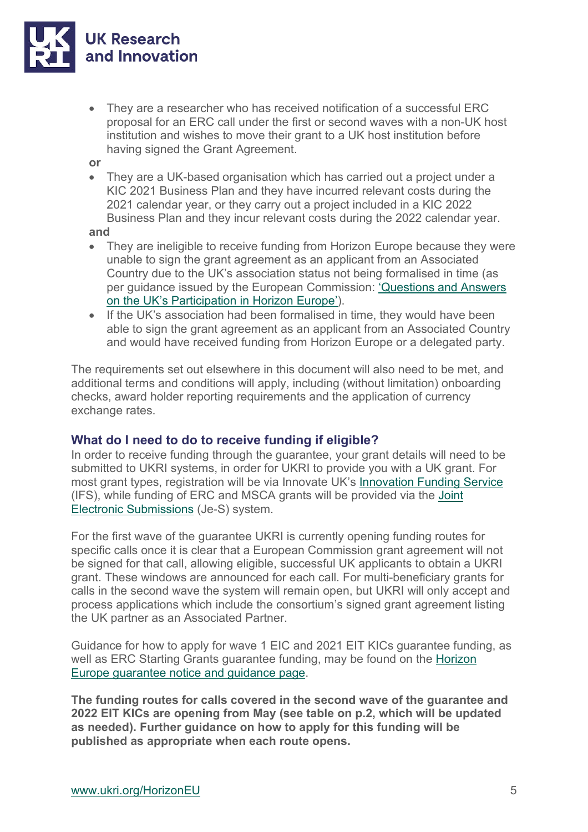

- They are a researcher who has received notification of a successful ERC proposal for an ERC call under the first or second waves with a non-UK host institution and wishes to move their grant to a UK host institution before having signed the Grant Agreement.
- **or**
- They are a UK-based organisation which has carried out a project under a KIC 2021 Business Plan and they have incurred relevant costs during the 2021 calendar year, or they carry out a project included in a KIC 2022 Business Plan and they incur relevant costs during the 2022 calendar year.

**and**

- They are ineligible to receive funding from Horizon Europe because they were unable to sign the grant agreement as an applicant from an Associated Country due to the UK's association status not being formalised in time (as per guidance issued by the European Commission: ['Questions and Answers](https://ec.europa.eu/info/news/questions-answers-uks-participation-horizon-europe-2021-feb-25_en)  [on the UK's Participation in Horizon Europe'\)](https://ec.europa.eu/info/news/questions-answers-uks-participation-horizon-europe-2021-feb-25_en).
- If the UK's association had been formalised in time, they would have been able to sign the grant agreement as an applicant from an Associated Country and would have received funding from Horizon Europe or a delegated party.

The requirements set out elsewhere in this document will also need to be met, and additional terms and conditions will apply, including (without limitation) onboarding checks, award holder reporting requirements and the application of currency exchange rates.

#### **What do I need to do to receive funding if eligible?**

In order to receive funding through the guarantee, your grant details will need to be submitted to UKRI systems, in order for UKRI to provide you with a UK grant. For most grant types, registration will be via Innovate UK's [Innovation Funding Service](https://auth.apply-for-innovation-funding.service.gov.uk/idp/profile/SAML2/Redirect/SSO?execution=e4s1) (IFS), while funding of ERC and MSCA grants will be provided via the [Joint](https://je-s.rcuk.ac.uk/JeS2WebLoginSite/Login.aspx)  [Electronic Submissions](https://je-s.rcuk.ac.uk/JeS2WebLoginSite/Login.aspx) (Je-S) system.

For the first wave of the guarantee UKRI is currently opening funding routes for specific calls once it is clear that a European Commission grant agreement will not be signed for that call, allowing eligible, successful UK applicants to obtain a UKRI grant. These windows are announced for each call. For multi-beneficiary grants for calls in the second wave the system will remain open, but UKRI will only accept and process applications which include the consortium's signed grant agreement listing the UK partner as an Associated Partner.

Guidance for how to apply for wave 1 EIC and 2021 EIT KICs guarantee funding, as well as ERC Starting Grants guarantee funding, may be found on the [Horizon](https://www.ukri.org/publications/horizon-europe-guarantee-notice-and-guidance/)  [Europe guarantee notice and guidance page.](https://www.ukri.org/publications/horizon-europe-guarantee-notice-and-guidance/)

**The funding routes for calls covered in the second wave of the guarantee and 2022 EIT KICs are opening from May (see table on p.2, which will be updated as needed). Further guidance on how to apply for this funding will be published as appropriate when each route opens.**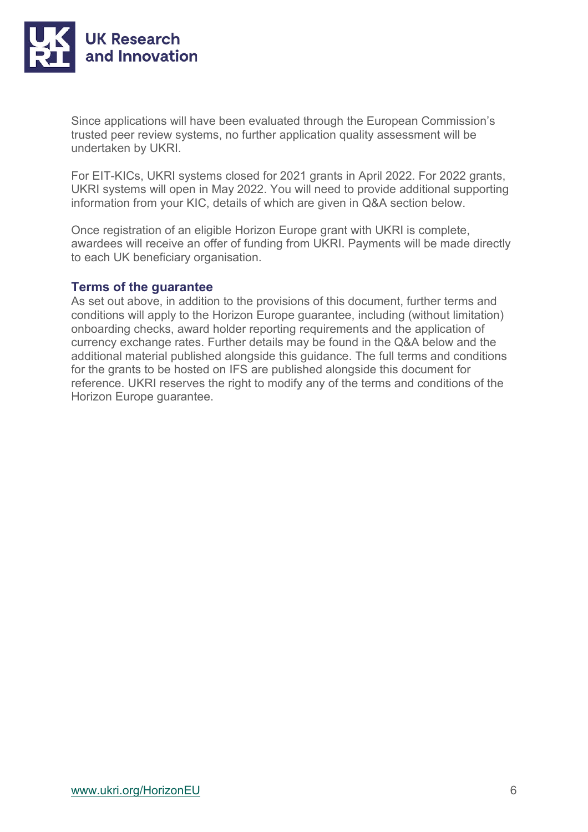

Since applications will have been evaluated through the European Commission's trusted peer review systems, no further application quality assessment will be undertaken by UKRI.

For EIT-KICs, UKRI systems closed for 2021 grants in April 2022. For 2022 grants, UKRI systems will open in May 2022. You will need to provide additional supporting information from your KIC, details of which are given in Q&A section below.

Once registration of an eligible Horizon Europe grant with UKRI is complete, awardees will receive an offer of funding from UKRI. Payments will be made directly to each UK beneficiary organisation.

#### **Terms of the guarantee**

As set out above, in addition to the provisions of this document, further terms and conditions will apply to the Horizon Europe guarantee, including (without limitation) onboarding checks, award holder reporting requirements and the application of currency exchange rates. Further details may be found in the Q&A below and the additional material published alongside this guidance. The full terms and conditions for the grants to be hosted on IFS are published alongside this document for reference. UKRI reserves the right to modify any of the terms and conditions of the Horizon Europe guarantee.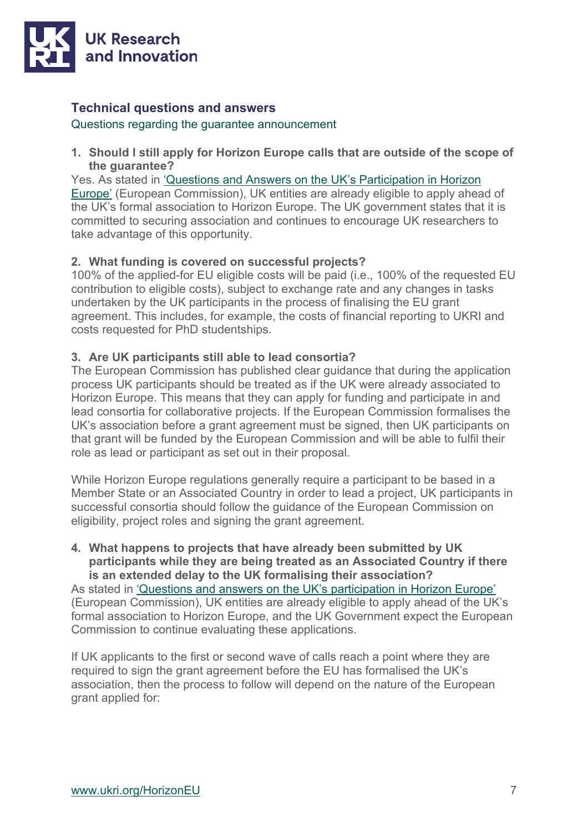

#### **Technical questions and answers**

Questions regarding the guarantee announcement

**1. Should I still apply for Horizon Europe calls that are outside of the scope of the guarantee?** 

Yes. As stated in ['Questions and Answers on the UK's Participation in Horizon](https://ec.europa.eu/info/news/questions-answers-uks-participation-horizon-europe-2021-feb-25_en)  [Europe'](https://ec.europa.eu/info/news/questions-answers-uks-participation-horizon-europe-2021-feb-25_en) (European Commission), UK entities are already eligible to apply ahead of the UK's formal association to Horizon Europe. The UK government states that it is committed to securing association and continues to encourage UK researchers to take advantage of this opportunity.

#### **2. What funding is covered on successful projects?**

100% of the applied-for EU eligible costs will be paid (i.e., 100% of the requested EU contribution to eligible costs), subject to exchange rate and any changes in tasks undertaken by the UK participants in the process of finalising the EU grant agreement. This includes, for example, the costs of financial reporting to UKRI and costs requested for PhD studentships.

#### **3. Are UK participants still able to lead consortia?**

The European Commission has published clear guidance that during the application process UK participants should be treated as if the UK were already associated to Horizon Europe. This means that they can apply for funding and participate in and lead consortia for collaborative projects. If the European Commission formalises the UK's association before a grant agreement must be signed, then UK participants on that grant will be funded by the European Commission and will be able to fulfil their role as lead or participant as set out in their proposal.

While Horizon Europe regulations generally require a participant to be based in a Member State or an Associated Country in order to lead a project, UK participants in successful consortia should follow the guidance of the European Commission on eligibility, project roles and signing the grant agreement.

**4. What happens to projects that have already been submitted by UK participants while they are being treated as an Associated Country if there is an extended delay to the UK formalising their association?**

As stated in ['Questions and answers on the UK's participation in Horizon Europe'](https://ec.europa.eu/info/news/questions-answers-uks-participation-horizon-europe-2021-feb-25_en) (European Commission), UK entities are already eligible to apply ahead of the UK's formal association to Horizon Europe, and the UK Government expect the European Commission to continue evaluating these applications.

If UK applicants to the first or second wave of calls reach a point where they are required to sign the grant agreement before the EU has formalised the UK's association, then the process to follow will depend on the nature of the European grant applied for: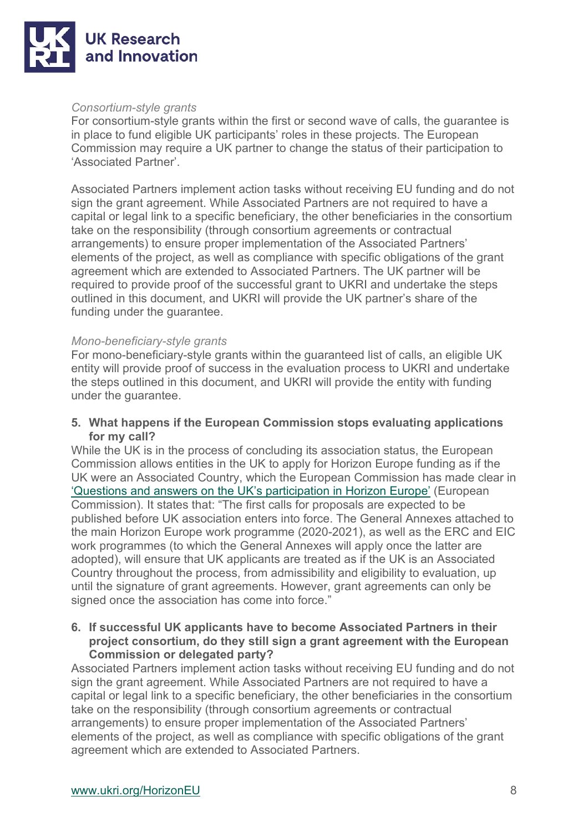

#### *Consortium-style grants*

For consortium-style grants within the first or second wave of calls, the guarantee is in place to fund eligible UK participants' roles in these projects. The European Commission may require a UK partner to change the status of their participation to 'Associated Partner'.

Associated Partners implement action tasks without receiving EU funding and do not sign the grant agreement. While Associated Partners are not required to have a capital or legal link to a specific beneficiary, the other beneficiaries in the consortium take on the responsibility (through consortium agreements or contractual arrangements) to ensure proper implementation of the Associated Partners' elements of the project, as well as compliance with specific obligations of the grant agreement which are extended to Associated Partners. The UK partner will be required to provide proof of the successful grant to UKRI and undertake the steps outlined in this document, and UKRI will provide the UK partner's share of the funding under the guarantee.

#### *Mono-beneficiary-style grants*

For mono-beneficiary-style grants within the guaranteed list of calls, an eligible UK entity will provide proof of success in the evaluation process to UKRI and undertake the steps outlined in this document, and UKRI will provide the entity with funding under the guarantee.

**5. What happens if the European Commission stops evaluating applications for my call?** 

While the UK is in the process of concluding its association status, the European Commission allows entities in the UK to apply for Horizon Europe funding as if the UK were an Associated Country, which the European Commission has made clear in ['Questions and answers on the UK's participation in Horizon Europe'](https://ec.europa.eu/info/news/questions-answers-uks-participation-horizon-europe-2021-feb-25_en) (European Commission). It states that: "The first calls for proposals are expected to be published before UK association enters into force. The General Annexes attached to the main Horizon Europe work programme (2020-2021), as well as the ERC and EIC work programmes (to which the General Annexes will apply once the latter are adopted), will ensure that UK applicants are treated as if the UK is an Associated Country throughout the process, from admissibility and eligibility to evaluation, up until the signature of grant agreements. However, grant agreements can only be signed once the association has come into force."

#### **6. If successful UK applicants have to become Associated Partners in their project consortium, do they still sign a grant agreement with the European Commission or delegated party?**

Associated Partners implement action tasks without receiving EU funding and do not sign the grant agreement. While Associated Partners are not required to have a capital or legal link to a specific beneficiary, the other beneficiaries in the consortium take on the responsibility (through consortium agreements or contractual arrangements) to ensure proper implementation of the Associated Partners' elements of the project, as well as compliance with specific obligations of the grant agreement which are extended to Associated Partners.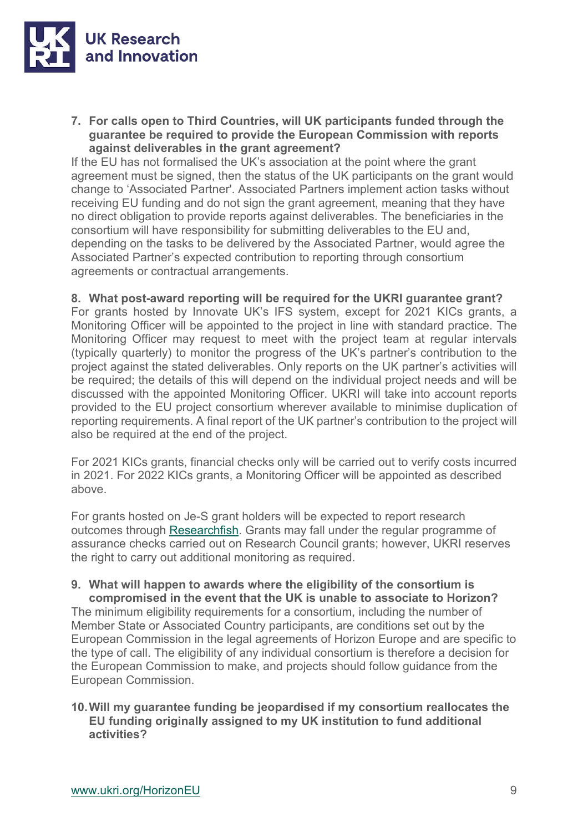

**7. For calls open to Third Countries, will UK participants funded through the guarantee be required to provide the European Commission with reports against deliverables in the grant agreement?**

If the EU has not formalised the UK's association at the point where the grant agreement must be signed, then the status of the UK participants on the grant would change to 'Associated Partner'. Associated Partners implement action tasks without receiving EU funding and do not sign the grant agreement, meaning that they have no direct obligation to provide reports against deliverables. The beneficiaries in the consortium will have responsibility for submitting deliverables to the EU and, depending on the tasks to be delivered by the Associated Partner, would agree the Associated Partner's expected contribution to reporting through consortium agreements or contractual arrangements.

#### **8. What post-award reporting will be required for the UKRI guarantee grant?**

For grants hosted by Innovate UK's IFS system, except for 2021 KICs grants, a Monitoring Officer will be appointed to the project in line with standard practice. The Monitoring Officer may request to meet with the project team at regular intervals (typically quarterly) to monitor the progress of the UK's partner's contribution to the project against the stated deliverables. Only reports on the UK partner's activities will be required; the details of this will depend on the individual project needs and will be discussed with the appointed Monitoring Officer. UKRI will take into account reports provided to the EU project consortium wherever available to minimise duplication of reporting requirements. A final report of the UK partner's contribution to the project will also be required at the end of the project.

For 2021 KICs grants, financial checks only will be carried out to verify costs incurred in 2021. For 2022 KICs grants, a Monitoring Officer will be appointed as described above.

For grants hosted on Je-S grant holders will be expected to report research outcomes through [Researchfish.](https://www.ukri.org/manage-your-award/reporting-your-projects-outcomes/) Grants may fall under the regular programme of assurance checks carried out on Research Council grants; however, UKRI reserves the right to carry out additional monitoring as required.

#### **9. What will happen to awards where the eligibility of the consortium is compromised in the event that the UK is unable to associate to Horizon?**

The minimum eligibility requirements for a consortium, including the number of Member State or Associated Country participants, are conditions set out by the European Commission in the legal agreements of Horizon Europe and are specific to the type of call. The eligibility of any individual consortium is therefore a decision for the European Commission to make, and projects should follow guidance from the European Commission.

#### **10.Will my guarantee funding be jeopardised if my consortium reallocates the EU funding originally assigned to my UK institution to fund additional activities?**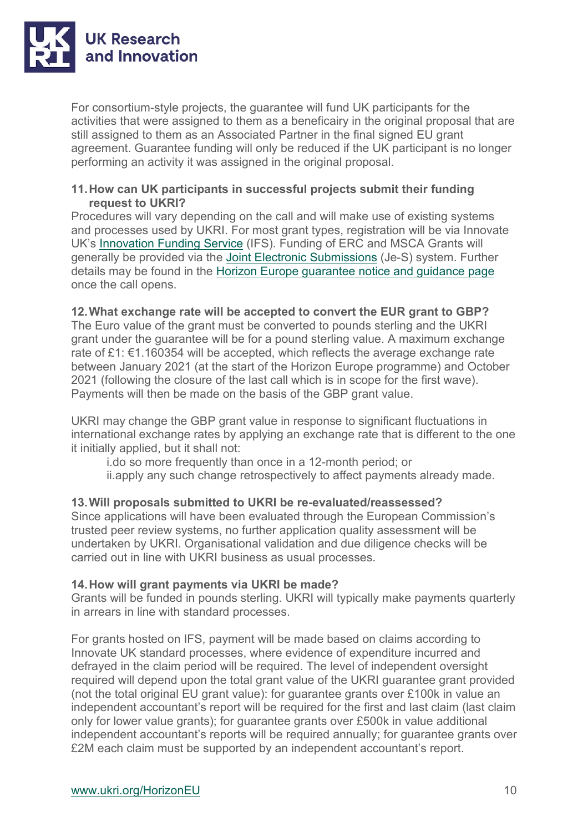

For consortium-style projects, the guarantee will fund UK participants for the activities that were assigned to them as a beneficairy in the original proposal that are still assigned to them as an Associated Partner in the final signed EU grant agreement. Guarantee funding will only be reduced if the UK participant is no longer performing an activity it was assigned in the original proposal.

#### **11.How can UK participants in successful projects submit their funding request to UKRI?**

Procedures will vary depending on the call and will make use of existing systems and processes used by UKRI. For most grant types, registration will be via Innovate UK's [Innovation Funding Service](https://auth.apply-for-innovation-funding.service.gov.uk/idp/profile/SAML2/Redirect/SSO?execution=e4s1) (IFS). Funding of ERC and MSCA Grants will generally be provided via the [Joint Electronic Submissions](https://je-s.rcuk.ac.uk/JeS2WebLoginSite/Login.aspx) (Je-S) system. Further details may be found in the [Horizon Europe guarantee notice and guidance page](https://www.ukri.org/publications/horizon-europe-guarantee-notice-and-guidance/) once the call opens.

#### **12.What exchange rate will be accepted to convert the EUR grant to GBP?**

The Euro value of the grant must be converted to pounds sterling and the UKRI grant under the guarantee will be for a pound sterling value. A maximum exchange rate of £1: €1.160354 will be accepted, which reflects the average exchange rate between January 2021 (at the start of the Horizon Europe programme) and October 2021 (following the closure of the last call which is in scope for the first wave). Payments will then be made on the basis of the GBP grant value.

UKRI may change the GBP grant value in response to significant fluctuations in international exchange rates by applying an exchange rate that is different to the one it initially applied, but it shall not:

i.do so more frequently than once in a 12-month period; or

ii.apply any such change retrospectively to affect payments already made.

#### **13.Will proposals submitted to UKRI be re-evaluated/reassessed?**

Since applications will have been evaluated through the European Commission's trusted peer review systems, no further application quality assessment will be undertaken by UKRI. Organisational validation and due diligence checks will be carried out in line with UKRI business as usual processes.

#### **14.How will grant payments via UKRI be made?**

Grants will be funded in pounds sterling. UKRI will typically make payments quarterly in arrears in line with standard processes.

For grants hosted on IFS, payment will be made based on claims according to Innovate UK standard processes, where evidence of expenditure incurred and defrayed in the claim period will be required. The level of independent oversight required will depend upon the total grant value of the UKRI guarantee grant provided (not the total original EU grant value): for guarantee grants over £100k in value an independent accountant's report will be required for the first and last claim (last claim only for lower value grants); for guarantee grants over £500k in value additional independent accountant's reports will be required annually; for guarantee grants over £2M each claim must be supported by an independent accountant's report.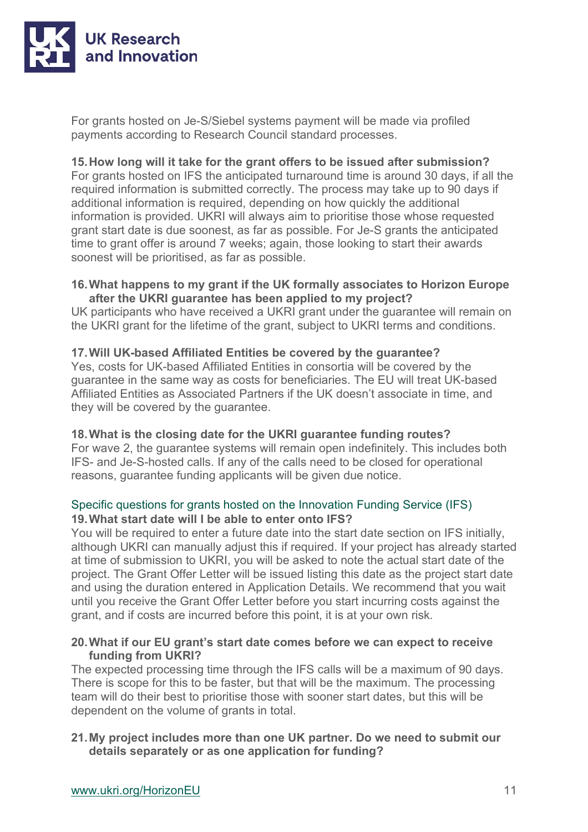

For grants hosted on Je-S/Siebel systems payment will be made via profiled payments according to Research Council standard processes.

#### **15.How long will it take for the grant offers to be issued after submission?**

For grants hosted on IFS the anticipated turnaround time is around 30 days, if all the required information is submitted correctly. The process may take up to 90 days if additional information is required, depending on how quickly the additional information is provided. UKRI will always aim to prioritise those whose requested grant start date is due soonest, as far as possible. For Je-S grants the anticipated time to grant offer is around 7 weeks; again, those looking to start their awards soonest will be prioritised, as far as possible.

#### **16.What happens to my grant if the UK formally associates to Horizon Europe after the UKRI guarantee has been applied to my project?**

UK participants who have received a UKRI grant under the guarantee will remain on the UKRI grant for the lifetime of the grant, subject to UKRI terms and conditions.

#### **17.Will UK-based Affiliated Entities be covered by the guarantee?**

Yes, costs for UK-based Affiliated Entities in consortia will be covered by the guarantee in the same way as costs for beneficiaries. The EU will treat UK-based Affiliated Entities as Associated Partners if the UK doesn't associate in time, and they will be covered by the guarantee.

#### **18.What is the closing date for the UKRI guarantee funding routes?**

For wave 2, the guarantee systems will remain open indefinitely. This includes both IFS- and Je-S-hosted calls. If any of the calls need to be closed for operational reasons, guarantee funding applicants will be given due notice.

#### Specific questions for grants hosted on the Innovation Funding Service (IFS) **19.What start date will I be able to enter onto IFS?**

You will be required to enter a future date into the start date section on IFS initially, although UKRI can manually adjust this if required. If your project has already started at time of submission to UKRI, you will be asked to note the actual start date of the project. The Grant Offer Letter will be issued listing this date as the project start date and using the duration entered in Application Details. We recommend that you wait until you receive the Grant Offer Letter before you start incurring costs against the grant, and if costs are incurred before this point, it is at your own risk.

#### **20.What if our EU grant's start date comes before we can expect to receive funding from UKRI?**

The expected processing time through the IFS calls will be a maximum of 90 days. There is scope for this to be faster, but that will be the maximum. The processing team will do their best to prioritise those with sooner start dates, but this will be dependent on the volume of grants in total.

#### **21.My project includes more than one UK partner. Do we need to submit our details separately or as one application for funding?**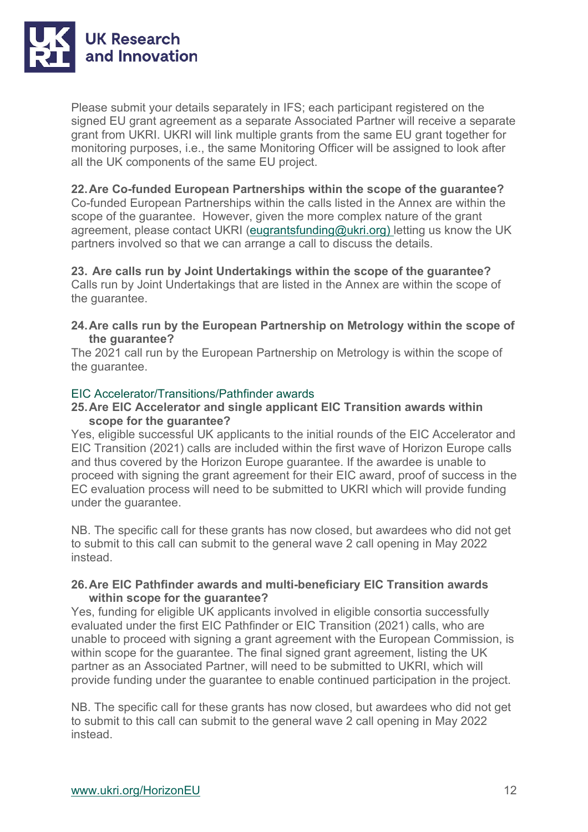

Please submit your details separately in IFS; each participant registered on the signed EU grant agreement as a separate Associated Partner will receive a separate grant from UKRI. UKRI will link multiple grants from the same EU grant together for monitoring purposes, i.e., the same Monitoring Officer will be assigned to look after all the UK components of the same EU project.

#### **22.Are Co-funded European Partnerships within the scope of the guarantee?**

Co-funded European Partnerships within the calls listed in the Annex are within the scope of the guarantee. However, given the more complex nature of the grant agreement, please contact UKRI [\(eugrantsfunding@ukri.org\)](mailto:eugrantsfunding@ukri.org) letting us know the UK partners involved so that we can arrange a call to discuss the details.

**23. Are calls run by Joint Undertakings within the scope of the guarantee?** Calls run by Joint Undertakings that are listed in the Annex are within the scope of the guarantee.

**24.Are calls run by the European Partnership on Metrology within the scope of the guarantee?**

The 2021 call run by the European Partnership on Metrology is within the scope of the guarantee.

#### EIC Accelerator/Transitions/Pathfinder awards

#### **25.Are EIC Accelerator and single applicant EIC Transition awards within scope for the guarantee?**

Yes, eligible successful UK applicants to the initial rounds of the EIC Accelerator and EIC Transition (2021) calls are included within the first wave of Horizon Europe calls and thus covered by the Horizon Europe guarantee. If the awardee is unable to proceed with signing the grant agreement for their EIC award, proof of success in the EC evaluation process will need to be submitted to UKRI which will provide funding under the guarantee.

NB. The specific call for these grants has now closed, but awardees who did not get to submit to this call can submit to the general wave 2 call opening in May 2022 instead.

#### **26.Are EIC Pathfinder awards and multi-beneficiary EIC Transition awards within scope for the guarantee?**

Yes, funding for eligible UK applicants involved in eligible consortia successfully evaluated under the first EIC Pathfinder or EIC Transition (2021) calls, who are unable to proceed with signing a grant agreement with the European Commission, is within scope for the guarantee. The final signed grant agreement, listing the UK partner as an Associated Partner, will need to be submitted to UKRI, which will provide funding under the guarantee to enable continued participation in the project.

NB. The specific call for these grants has now closed, but awardees who did not get to submit to this call can submit to the general wave 2 call opening in May 2022 instead.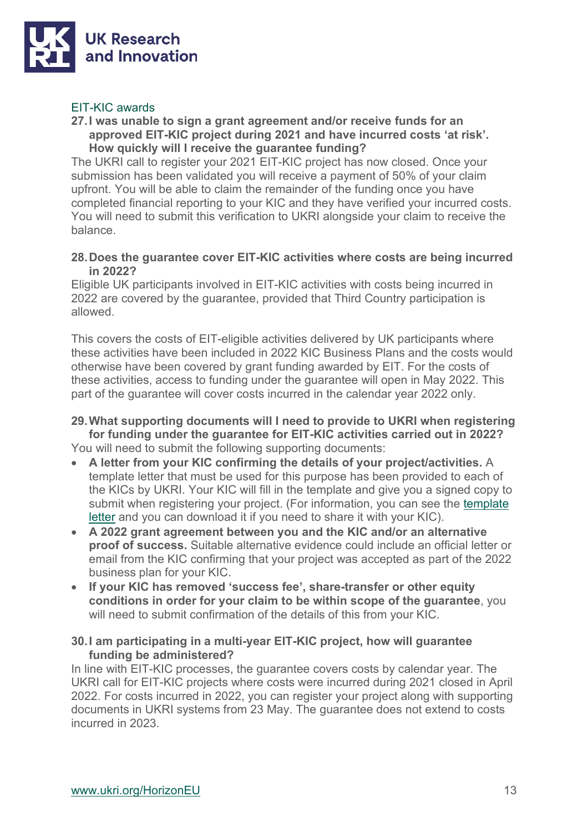

#### EIT-KIC awards

### **27.I was unable to sign a grant agreement and/or receive funds for an approved EIT-KIC project during 2021 and have incurred costs 'at risk'.**

**How quickly will I receive the guarantee funding?**

The UKRI call to register your 2021 EIT-KIC project has now closed. Once your submission has been validated you will receive a payment of 50% of your claim upfront. You will be able to claim the remainder of the funding once you have completed financial reporting to your KIC and they have verified your incurred costs. You will need to submit this verification to UKRI alongside your claim to receive the balance.

#### **28.Does the guarantee cover EIT-KIC activities where costs are being incurred in 2022?**

Eligible UK participants involved in EIT-KIC activities with costs being incurred in 2022 are covered by the guarantee, provided that Third Country participation is allowed.

This covers the costs of EIT-eligible activities delivered by UK participants where these activities have been included in 2022 KIC Business Plans and the costs would otherwise have been covered by grant funding awarded by EIT. For the costs of these activities, access to funding under the guarantee will open in May 2022. This part of the guarantee will cover costs incurred in the calendar year 2022 only.

**29.What supporting documents will I need to provide to UKRI when registering for funding under the guarantee for EIT-KIC activities carried out in 2022?**  You will need to submit the following supporting documents:

- **A letter from your KIC confirming the details of your project/activities.** A template letter that must be used for this purpose has been provided to each of the KICs by UKRI. Your KIC will fill in the template and give you a signed copy to submit when registering your project. (For information, you can see the [template](https://www.ukri.org/wp-content/uploads/2022/05/UKRI-050522-HorizonEuropeGuarantee-TemplateEITKICLetterUKPartner-2022.pdf)  [letter](https://www.ukri.org/wp-content/uploads/2022/05/UKRI-050522-HorizonEuropeGuarantee-TemplateEITKICLetterUKPartner-2022.pdf) and you can download it if you need to share it with your KIC).
- **A 2022 grant agreement between you and the KIC and/or an alternative proof of success.** Suitable alternative evidence could include an official letter or email from the KIC confirming that your project was accepted as part of the 2022 business plan for your KIC.
- **If your KIC has removed 'success fee', share-transfer or other equity conditions in order for your claim to be within scope of the guarantee**, you will need to submit confirmation of the details of this from your KIC.

#### **30.I am participating in a multi-year EIT-KIC project, how will guarantee funding be administered?**

In line with EIT-KIC processes, the guarantee covers costs by calendar year. The UKRI call for EIT-KIC projects where costs were incurred during 2021 closed in April 2022. For costs incurred in 2022, you can register your project along with supporting documents in UKRI systems from 23 May. The guarantee does not extend to costs incurred in 2023.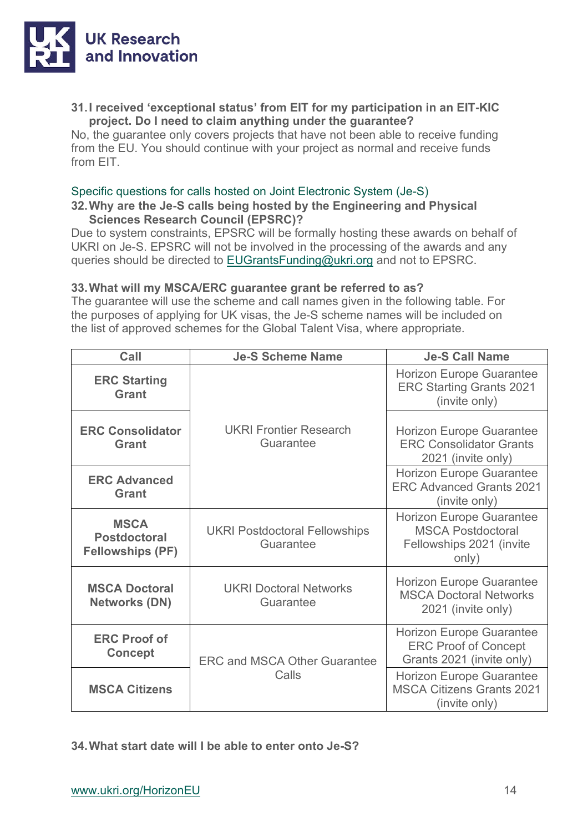

#### **31.I received 'exceptional status' from EIT for my participation in an EIT-KIC project. Do I need to claim anything under the guarantee?**

No, the guarantee only covers projects that have not been able to receive funding from the EU. You should continue with your project as normal and receive funds from EIT.

#### Specific questions for calls hosted on Joint Electronic System (Je-S)

#### **32.Why are the Je-S calls being hosted by the Engineering and Physical Sciences Research Council (EPSRC)?**

Due to system constraints, EPSRC will be formally hosting these awards on behalf of UKRI on Je-S. EPSRC will not be involved in the processing of the awards and any queries should be directed to [EUGrantsFunding@ukri.org](mailto:EUGrantsFunding@ukri.org) and not to EPSRC.

#### **33.What will my MSCA/ERC guarantee grant be referred to as?**

The guarantee will use the scheme and call names given in the following table. For the purposes of applying for UK visas, the Je-S scheme names will be included on the list of approved schemes for the Global Talent Visa, where appropriate.

| Call                                                          | <b>Je-S Scheme Name</b>                           | <b>Je-S Call Name</b>                                                                            |
|---------------------------------------------------------------|---------------------------------------------------|--------------------------------------------------------------------------------------------------|
| <b>ERC Starting</b><br><b>Grant</b>                           |                                                   | <b>Horizon Europe Guarantee</b><br><b>ERC Starting Grants 2021</b><br>(invite only)              |
| <b>ERC Consolidator</b><br><b>Grant</b>                       | <b>UKRI Frontier Research</b><br>Guarantee        | <b>Horizon Europe Guarantee</b><br><b>ERC Consolidator Grants</b><br>2021 (invite only)          |
| <b>ERC Advanced</b><br><b>Grant</b>                           |                                                   | <b>Horizon Europe Guarantee</b><br><b>ERC Advanced Grants 2021</b><br>(invite only)              |
| <b>MSCA</b><br><b>Postdoctoral</b><br><b>Fellowships (PF)</b> | <b>UKRI Postdoctoral Fellowships</b><br>Guarantee | <b>Horizon Europe Guarantee</b><br><b>MSCA Postdoctoral</b><br>Fellowships 2021 (invite<br>only) |
| <b>MSCA Doctoral</b><br><b>Networks (DN)</b>                  | <b>UKRI Doctoral Networks</b><br>Guarantee        | <b>Horizon Europe Guarantee</b><br><b>MSCA Doctoral Networks</b><br>2021 (invite only)           |
| <b>ERC Proof of</b><br><b>Concept</b>                         | <b>ERC and MSCA Other Guarantee</b><br>Calls      | <b>Horizon Europe Guarantee</b><br><b>ERC Proof of Concept</b><br>Grants 2021 (invite only)      |
| <b>MSCA Citizens</b>                                          |                                                   | <b>Horizon Europe Guarantee</b><br><b>MSCA Citizens Grants 2021</b><br>(invite only)             |

**34.What start date will I be able to enter onto Je-S?**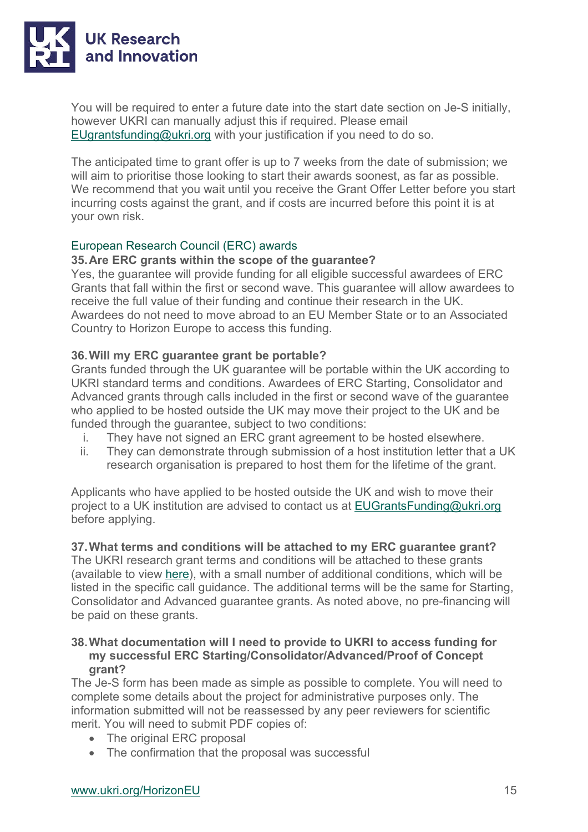

You will be required to enter a future date into the start date section on Je-S initially, however UKRI can manually adjust this if required. Please email [EUgrantsfunding@ukri.org](mailto:EUgrantsfunding@ukri.org) with your justification if you need to do so.

The anticipated time to grant offer is up to 7 weeks from the date of submission; we will aim to prioritise those looking to start their awards soonest, as far as possible. We recommend that you wait until you receive the Grant Offer Letter before you start incurring costs against the grant, and if costs are incurred before this point it is at your own risk.

#### European Research Council (ERC) awards

#### **35.Are ERC grants within the scope of the guarantee?**

Yes, the guarantee will provide funding for all eligible successful awardees of ERC Grants that fall within the first or second wave. This guarantee will allow awardees to receive the full value of their funding and continue their research in the UK. Awardees do not need to move abroad to an EU Member State or to an Associated Country to Horizon Europe to access this funding.

#### **36.Will my ERC guarantee grant be portable?**

Grants funded through the UK guarantee will be portable within the UK according to UKRI standard terms and conditions. Awardees of ERC Starting, Consolidator and Advanced grants through calls included in the first or second wave of the guarantee who applied to be hosted outside the UK may move their project to the UK and be funded through the guarantee, subject to two conditions:

- i. They have not signed an ERC grant agreement to be hosted elsewhere.
- ii. They can demonstrate through submission of a host institution letter that a UK research organisation is prepared to host them for the lifetime of the grant.

Applicants who have applied to be hosted outside the UK and wish to move their project to a UK institution are advised to contact us at [EUGrantsFunding@ukri.org](mailto:EUGrantsFunding@ukri.org) before applying.

#### **37.What terms and conditions will be attached to my ERC guarantee grant?**

The UKRI research grant terms and conditions will be attached to these grants (available to view [here\)](https://www.ukri.org/publications/terms-and-conditions-for-research-grants/), with a small number of additional conditions, which will be listed in the specific call guidance. The additional terms will be the same for Starting, Consolidator and Advanced guarantee grants. As noted above, no pre-financing will be paid on these grants.

#### **38.What documentation will I need to provide to UKRI to access funding for my successful ERC Starting/Consolidator/Advanced/Proof of Concept grant?**

The Je-S form has been made as simple as possible to complete. You will need to complete some details about the project for administrative purposes only. The information submitted will not be reassessed by any peer reviewers for scientific merit. You will need to submit PDF copies of:

- The original ERC proposal
- The confirmation that the proposal was successful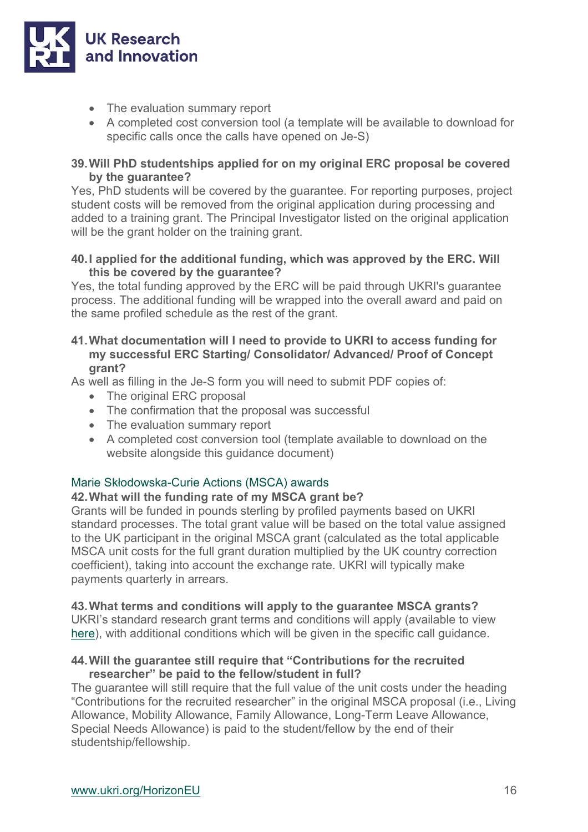

- The evaluation summary report
- A completed cost conversion tool (a template will be available to download for specific calls once the calls have opened on Je-S)

#### **39.Will PhD studentships applied for on my original ERC proposal be covered by the guarantee?**

Yes, PhD students will be covered by the guarantee. For reporting purposes, project student costs will be removed from the original application during processing and added to a training grant. The Principal Investigator listed on the original application will be the grant holder on the training grant.

#### **40.I applied for the additional funding, which was approved by the ERC. Will this be covered by the guarantee?**

Yes, the total funding approved by the ERC will be paid through UKRI's guarantee process. The additional funding will be wrapped into the overall award and paid on the same profiled schedule as the rest of the grant.

#### **41.What documentation will I need to provide to UKRI to access funding for my successful ERC Starting/ Consolidator/ Advanced/ Proof of Concept grant?**

As well as filling in the Je-S form you will need to submit PDF copies of:

- The original ERC proposal
- The confirmation that the proposal was successful
- The evaluation summary report
- A completed cost conversion tool (template available to download on the website alongside this guidance document)

#### Marie Skłodowska-Curie Actions (MSCA) awards

#### **42.What will the funding rate of my MSCA grant be?**

Grants will be funded in pounds sterling by profiled payments based on UKRI standard processes. The total grant value will be based on the total value assigned to the UK participant in the original MSCA grant (calculated as the total applicable MSCA unit costs for the full grant duration multiplied by the UK country correction coefficient), taking into account the exchange rate. UKRI will typically make payments quarterly in arrears.

#### **43.What terms and conditions will apply to the guarantee MSCA grants?**

UKRI's standard research grant terms and conditions will apply (available to view [here\)](https://www.ukri.org/publications/terms-and-conditions-for-research-grants/), with additional conditions which will be given in the specific call guidance.

#### **44.Will the guarantee still require that "Contributions for the recruited researcher" be paid to the fellow/student in full?**

The guarantee will still require that the full value of the unit costs under the heading "Contributions for the recruited researcher" in the original MSCA proposal (i.e., Living Allowance, Mobility Allowance, Family Allowance, Long-Term Leave Allowance, Special Needs Allowance) is paid to the student/fellow by the end of their studentship/fellowship.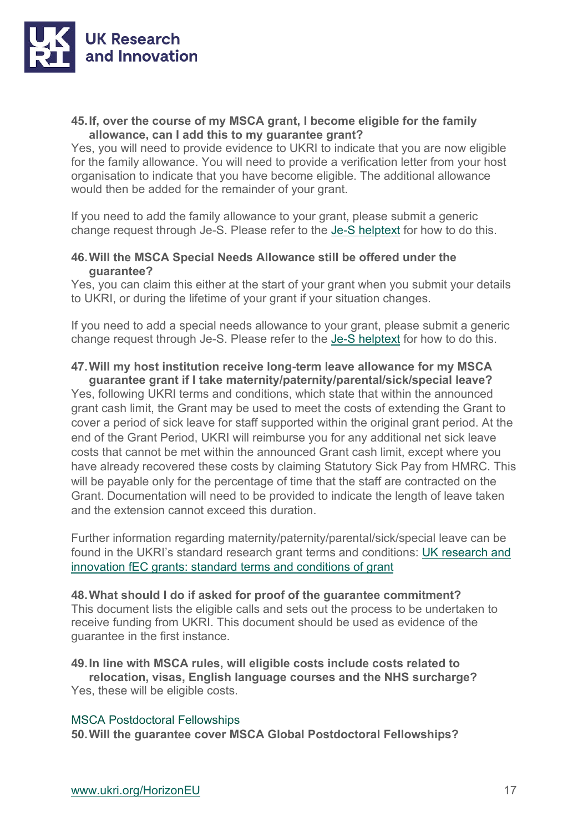

#### **45.If, over the course of my MSCA grant, I become eligible for the family allowance, can I add this to my guarantee grant?**

Yes, you will need to provide evidence to UKRI to indicate that you are now eligible for the family allowance. You will need to provide a verification letter from your host organisation to indicate that you have become eligible. The additional allowance would then be added for the remainder of your grant.

If you need to add the family allowance to your grant, please submit a generic change request through Je-S. Please refer to the [Je-S helptext](https://je-s.rcuk.ac.uk/handbook/index.htm#t=pages%2FGrant_Maintenance_Requests.htm.) for how to do this.

#### **46.Will the MSCA Special Needs Allowance still be offered under the guarantee?**

Yes, you can claim this either at the start of your grant when you submit your details to UKRI, or during the lifetime of your grant if your situation changes.

If you need to add a special needs allowance to your grant, please submit a generic change request through Je-S. Please refer to the [Je-S helptext](https://je-s.rcuk.ac.uk/handbook/index.htm#t=pages%2FGrant_Maintenance_Requests.htm.) for how to do this.

### **47.Will my host institution receive long-term leave allowance for my MSCA**

**guarantee grant if I take maternity/paternity/parental/sick/special leave?** Yes, following UKRI terms and conditions, which state that within the announced grant cash limit, the Grant may be used to meet the costs of extending the Grant to cover a period of sick leave for staff supported within the original grant period. At the end of the Grant Period, UKRI will reimburse you for any additional net sick leave costs that cannot be met within the announced Grant cash limit, except where you have already recovered these costs by claiming Statutory Sick Pay from HMRC. This will be payable only for the percentage of time that the staff are contracted on the Grant. Documentation will need to be provided to indicate the length of leave taken and the extension cannot exceed this duration.

Further information regarding maternity/paternity/parental/sick/special leave can be found in the UKRI's standard research grant terms and conditions: [UK research and](https://www.ukri.org/wp-content/uploads/2022/04/UKRI-050422-FullEconomicCostingGrantTermsConditions-Apr2022.pdf)  [innovation fEC grants: standard terms and conditions of grant](https://www.ukri.org/wp-content/uploads/2022/04/UKRI-050422-FullEconomicCostingGrantTermsConditions-Apr2022.pdf)

#### **48.What should I do if asked for proof of the guarantee commitment?**

This document lists the eligible calls and sets out the process to be undertaken to receive funding from UKRI. This document should be used as evidence of the guarantee in the first instance.

#### **49.In line with MSCA rules, will eligible costs include costs related to**

**relocation, visas, English language courses and the NHS surcharge?**  Yes, these will be eligible costs.

#### MSCA Postdoctoral Fellowships

**50.Will the guarantee cover MSCA Global Postdoctoral Fellowships?**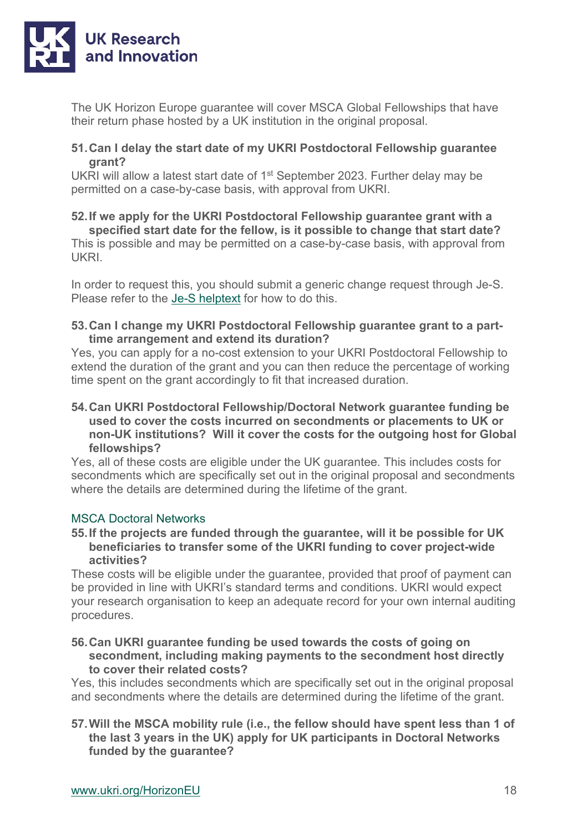

The UK Horizon Europe guarantee will cover MSCA Global Fellowships that have their return phase hosted by a UK institution in the original proposal.

#### **51.Can I delay the start date of my UKRI Postdoctoral Fellowship guarantee grant?**

UKRI will allow a latest start date of 1st September 2023. Further delay may be permitted on a case-by-case basis, with approval from UKRI.

#### **52.If we apply for the UKRI Postdoctoral Fellowship guarantee grant with a specified start date for the fellow, is it possible to change that start date?**

This is possible and may be permitted on a case-by-case basis, with approval from UKRI.

In order to request this, you should submit a generic change request through Je-S. Please refer to the [Je-S helptext](https://je-s.rcuk.ac.uk/handbook/index.htm#t=pages%2FGrant_Maintenance_Requests.htm.) for how to do this.

#### **53.Can I change my UKRI Postdoctoral Fellowship guarantee grant to a parttime arrangement and extend its duration?**

Yes, you can apply for a no-cost extension to your UKRI Postdoctoral Fellowship to extend the duration of the grant and you can then reduce the percentage of working time spent on the grant accordingly to fit that increased duration.

#### **54.Can UKRI Postdoctoral Fellowship/Doctoral Network guarantee funding be used to cover the costs incurred on secondments or placements to UK or non-UK institutions? Will it cover the costs for the outgoing host for Global fellowships?**

Yes, all of these costs are eligible under the UK guarantee. This includes costs for secondments which are specifically set out in the original proposal and secondments where the details are determined during the lifetime of the grant.

#### MSCA Doctoral Networks

#### **55.If the projects are funded through the guarantee, will it be possible for UK beneficiaries to transfer some of the UKRI funding to cover project-wide activities?**

These costs will be eligible under the guarantee, provided that proof of payment can be provided in line with UKRI's standard terms and conditions. UKRI would expect your research organisation to keep an adequate record for your own internal auditing procedures.

#### **56.Can UKRI guarantee funding be used towards the costs of going on secondment, including making payments to the secondment host directly to cover their related costs?**

Yes, this includes secondments which are specifically set out in the original proposal and secondments where the details are determined during the lifetime of the grant.

#### **57.Will the MSCA mobility rule (i.e., the fellow should have spent less than 1 of the last 3 years in the UK) apply for UK participants in Doctoral Networks funded by the guarantee?**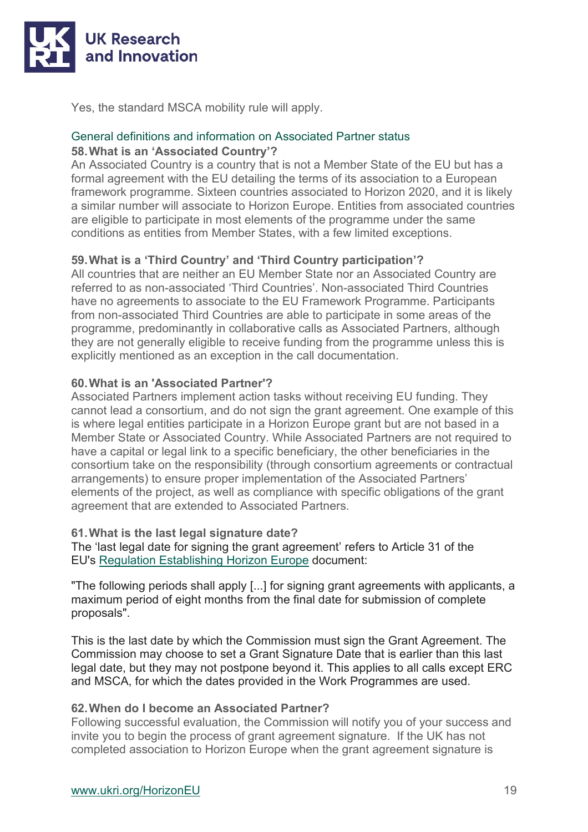

Yes, the standard MSCA mobility rule will apply.

#### General definitions and information on Associated Partner status **58.What is an 'Associated Country'?**

An Associated Country is a country that is not a Member State of the EU but has a formal agreement with the EU detailing the terms of its association to a European framework programme. Sixteen countries associated to Horizon 2020, and it is likely a similar number will associate to Horizon Europe. Entities from associated countries are eligible to participate in most elements of the programme under the same conditions as entities from Member States, with a few limited exceptions.

#### **59.What is a 'Third Country' and 'Third Country participation'?**

All countries that are neither an EU Member State nor an Associated Country are referred to as non-associated 'Third Countries'. Non-associated Third Countries have no agreements to associate to the EU Framework Programme. Participants from non-associated Third Countries are able to participate in some areas of the programme, predominantly in collaborative calls as Associated Partners, although they are not generally eligible to receive funding from the programme unless this is explicitly mentioned as an exception in the call documentation.

#### **60.What is an 'Associated Partner'?**

Associated Partners implement action tasks without receiving EU funding. They cannot lead a consortium, and do not sign the grant agreement. One example of this is where legal entities participate in a Horizon Europe grant but are not based in a Member State or Associated Country. While Associated Partners are not required to have a capital or legal link to a specific beneficiary, the other beneficiaries in the consortium take on the responsibility (through consortium agreements or contractual arrangements) to ensure proper implementation of the Associated Partners' elements of the project, as well as compliance with specific obligations of the grant agreement that are extended to Associated Partners.

#### **61.What is the last legal signature date?**

The 'last legal date for signing the grant agreement' refers to Article 31 of the EU's [Regulation Establishing Horizon Europe](https://eur02.safelinks.protection.outlook.com/?url=https%3A%2F%2Feur-lex.europa.eu%2Flegal-content%2FEN%2FALL%2F%3Furi%3DCELEX%3A32021R0695&data=04%7C01%7CRichard.Murphy%40beis.gov.uk%7C5e53602c90da404ed37508d9fb5bb1d7%7Ccbac700502c143ebb497e6492d1b2dd8%7C0%7C0%7C637817193501307842%7CUnknown%7CTWFpbGZsb3d8eyJWIjoiMC4wLjAwMDAiLCJQIjoiV2luMzIiLCJBTiI6Ik1haWwiLCJXVCI6Mn0%3D%7C3000&sdata=RGvpefNCM2jXh6LQOqai02ppgtFiIezXeSG23n1so3U%3D&reserved=0) document:

"The following periods shall apply [...] for signing grant agreements with applicants, a maximum period of eight months from the final date for submission of complete proposals".

This is the last date by which the Commission must sign the Grant Agreement. The Commission may choose to set a Grant Signature Date that is earlier than this last legal date, but they may not postpone beyond it. This applies to all calls except ERC and MSCA, for which the dates provided in the Work Programmes are used.

#### **62.When do I become an Associated Partner?**

Following successful evaluation, the Commission will notify you of your success and invite you to begin the process of grant agreement signature. If the UK has not completed association to Horizon Europe when the grant agreement signature is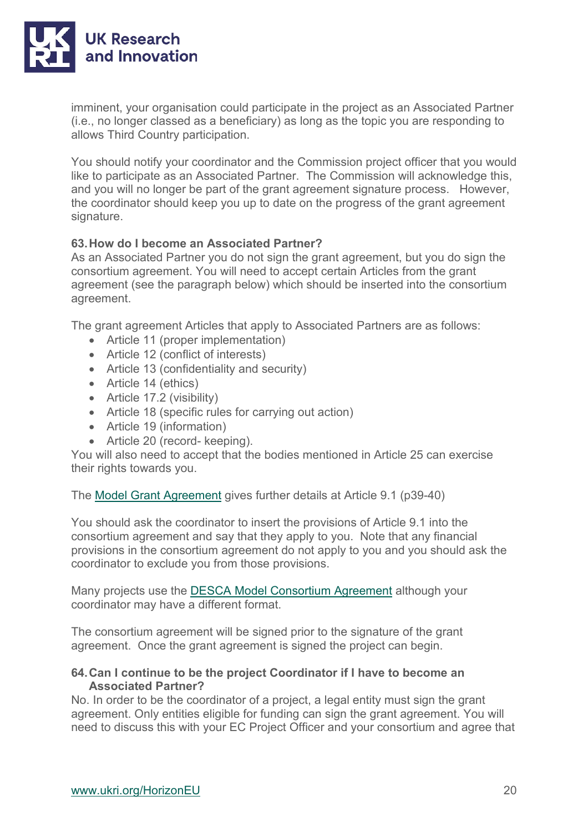

imminent, your organisation could participate in the project as an Associated Partner (i.e., no longer classed as a beneficiary) as long as the topic you are responding to allows Third Country participation.

You should notify your coordinator and the Commission project officer that you would like to participate as an Associated Partner. The Commission will acknowledge this, and you will no longer be part of the grant agreement signature process. However, the coordinator should keep you up to date on the progress of the grant agreement signature.

#### **63.How do I become an Associated Partner?**

As an Associated Partner you do not sign the grant agreement, but you do sign the consortium agreement. You will need to accept certain Articles from the grant agreement (see the paragraph below) which should be inserted into the consortium agreement.

The grant agreement Articles that apply to Associated Partners are as follows:

- Article 11 (proper implementation)
- Article 12 (conflict of interests)
- Article 13 (confidentiality and security)
- Article 14 (ethics)
- Article 17.2 (visibility)
- Article 18 (specific rules for carrying out action)
- Article 19 (information)
- Article 20 (record- keeping).

You will also need to accept that the bodies mentioned in Article 25 can exercise their rights towards you.

The [Model Grant Agreement](https://ec.europa.eu/info/funding-tenders/opportunities/docs/2021-2027/common/agr-contr/general-mga_horizon-euratom_en.pdf) gives further details at Article 9.1 (p39-40)

You should ask the coordinator to insert the provisions of Article 9.1 into the consortium agreement and say that they apply to you. Note that any financial provisions in the consortium agreement do not apply to you and you should ask the coordinator to exclude you from those provisions.

Many projects use the [DESCA Model Consortium Agreement](https://www.desca-agreement.eu/desca-model-consortium-agreement/) although your coordinator may have a different format.

The consortium agreement will be signed prior to the signature of the grant agreement. Once the grant agreement is signed the project can begin.

#### **64.Can I continue to be the project Coordinator if I have to become an Associated Partner?**

No. In order to be the coordinator of a project, a legal entity must sign the grant agreement. Only entities eligible for funding can sign the grant agreement. You will need to discuss this with your EC Project Officer and your consortium and agree that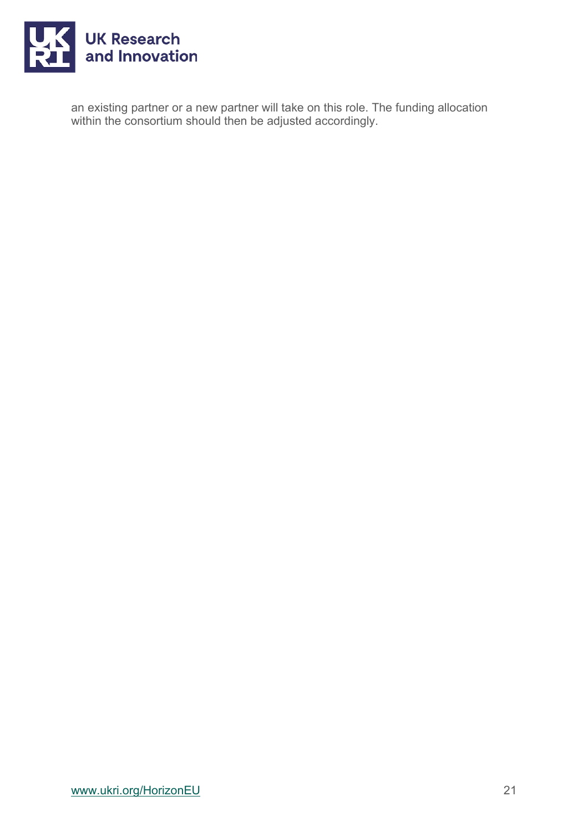

an existing partner or a new partner will take on this role. The funding allocation within the consortium should then be adjusted accordingly.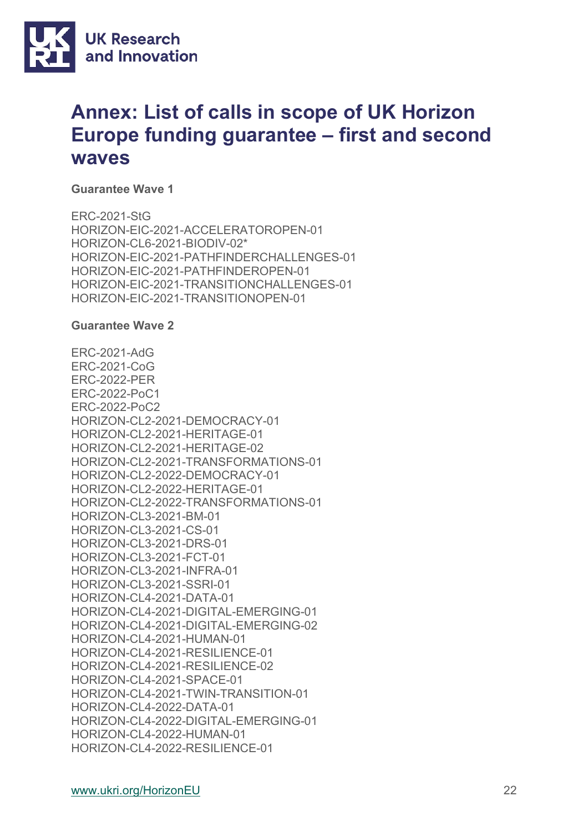

## **Annex: List of calls in scope of UK Horizon Europe funding guarantee – first and second waves**

**Guarantee Wave 1**

ERC-2021-StG HORIZON-EIC-2021-ACCELERATOROPEN-01 HORIZON-CL6-2021-BIODIV-02\* HORIZON-EIC-2021-PATHFINDERCHALLENGES-01 HORIZON-EIC-2021-PATHFINDEROPEN-01 HORIZON-EIC-2021-TRANSITIONCHALLENGES-01 HORIZON-EIC-2021-TRANSITIONOPEN-01

#### **Guarantee Wave 2**

ERC-2021-AdG ERC-2021-CoG ERC-2022-PER ERC-2022-PoC1 ERC-2022-PoC2 HORIZON-CL2-2021-DEMOCRACY-01 HORIZON-CL2-2021-HERITAGE-01 HORIZON-CL2-2021-HERITAGE-02 HORIZON-CL2-2021-TRANSFORMATIONS-01 HORIZON-CL2-2022-DEMOCRACY-01 HORIZON-CL2-2022-HERITAGE-01 HORIZON-CL2-2022-TRANSFORMATIONS-01 HORIZON-CL3-2021-BM-01 HORIZON-CL3-2021-CS-01 HORIZON-CL3-2021-DRS-01 HORIZON-CL3-2021-FCT-01 HORIZON-CL3-2021-INFRA-01 HORIZON-CL3-2021-SSRI-01 HORIZON-CL4-2021-DATA-01 HORIZON-CL4-2021-DIGITAL-EMERGING-01 HORIZON-CL4-2021-DIGITAL-EMERGING-02 HORIZON-CL4-2021-HUMAN-01 HORIZON-CL4-2021-RESILIENCE-01 HORIZON-CL4-2021-RESILIENCE-02 HORIZON-CL4-2021-SPACE-01 HORIZON-CL4-2021-TWIN-TRANSITION-01 HORIZON-CL4-2022-DATA-01 HORIZON-CL4-2022-DIGITAL-EMERGING-01 HORIZON-CL4-2022-HUMAN-01 HORIZON-CL4-2022-RESILIENCE-01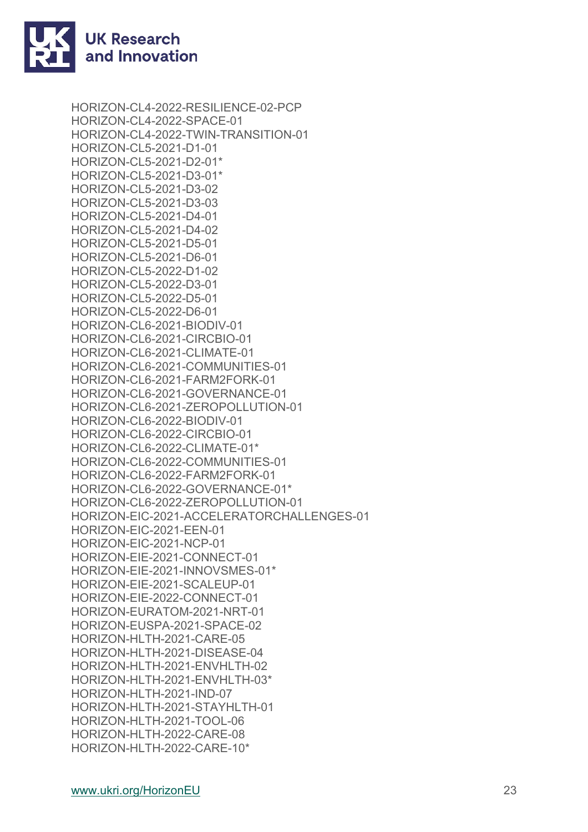

HORIZON-CL4-2022-RESILIENCE-02-PCP HORIZON-CL4-2022-SPACE-01 HORIZON-CL4-2022-TWIN-TRANSITION-01 HORIZON-CL5-2021-D1-01 HORIZON-CL5-2021-D2-01\* HORIZON-CL5-2021-D3-01\* HORIZON-CL5-2021-D3-02 HORIZON-CL5-2021-D3-03 HORIZON-CL5-2021-D4-01 HORIZON-CL5-2021-D4-02 HORIZON-CL5-2021-D5-01 HORIZON-CL5-2021-D6-01 HORIZON-CL5-2022-D1-02 HORIZON-CL5-2022-D3-01 HORIZON-CL5-2022-D5-01 HORIZON-CL5-2022-D6-01 HORIZON-CL6-2021-BIODIV-01 HORIZON-CL6-2021-CIRCBIO-01 HORIZON-CL6-2021-CLIMATE-01 HORIZON-CL6-2021-COMMUNITIES-01 HORIZON-CL6-2021-FARM2FORK-01 HORIZON-CL6-2021-GOVERNANCE-01 HORIZON-CL6-2021-ZEROPOLLUTION-01 HORIZON-CL6-2022-BIODIV-01 HORIZON-CL6-2022-CIRCBIO-01 HORIZON-CL6-2022-CLIMATE-01\* HORIZON-CL6-2022-COMMUNITIES-01 HORIZON-CL6-2022-FARM2FORK-01 HORIZON-CL6-2022-GOVERNANCE-01\* HORIZON-CL6-2022-ZEROPOLLUTION-01 HORIZON-EIC-2021-ACCELERATORCHALLENGES-01 HORIZON-EIC-2021-EEN-01 HORIZON-EIC-2021-NCP-01 HORIZON-EIE-2021-CONNECT-01 HORIZON-EIE-2021-INNOVSMES-01\* HORIZON-EIE-2021-SCALEUP-01 HORIZON-EIE-2022-CONNECT-01 HORIZON-EURATOM-2021-NRT-01 HORIZON-EUSPA-2021-SPACE-02 HORIZON-HLTH-2021-CARE-05 HORIZON-HLTH-2021-DISEASE-04 HORIZON-HLTH-2021-ENVHLTH-02 HORIZON-HLTH-2021-ENVHLTH-03\* HORIZON-HLTH-2021-IND-07 HORIZON-HLTH-2021-STAYHLTH-01 HORIZON-HLTH-2021-TOOL-06 HORIZON-HLTH-2022-CARE-08 HORIZON-HLTH-2022-CARE-10\*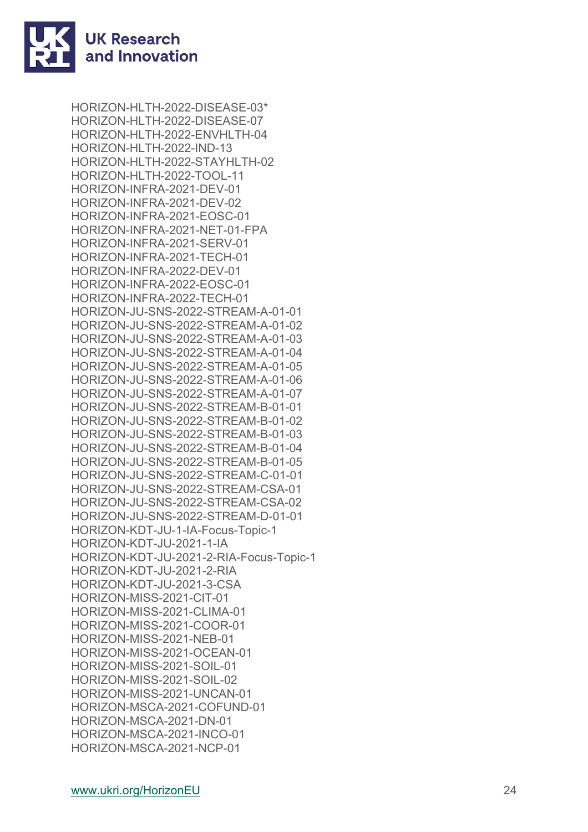

HORIZON -HLTH -2022 -DISEASE -03\* HORIZON -HLTH -2022 -DISEASE -07 HORIZON -HLTH -2022 -ENVHLTH -04 HORIZON -HLTH -2022 -IND -13 HORIZON -HLTH -2022 -STAYHLTH -02 HORIZON -HLTH -2022 -TOOL -11 HORIZON -INFRA -2021 -DEV -01 HORIZON -INFRA -2021 -DEV -02 HORIZON -INFRA -2021 -EOSC -01 HORIZON -INFRA -2021 -NET -01 -FPA HORIZON -INFRA -2021 -SERV -01 HORIZON -INFRA -2021 -TECH -01 HORIZON -INFRA -2022 -DEV -01 HORIZON -INFRA -2022 -EOSC -01 HORIZON -INFRA -2022 -TECH -01 HORIZON -JU -SNS -2022 -STREAM - A -01 -01 HORIZON -JU -SNS -2022 -STREAM - A -01 -02 HORIZON -JU -SNS -2022 -STREAM - A -01 -03 HORIZON -JU -SNS -2022 -STREAM - A -01 -04 HORIZON -JU -SNS -2022 -STREAM - A -01 -05 HORIZON -JU -SNS -2022 -STREAM - A -01 -06 HORIZON -JU -SNS -2022 -STREAM - A -01 -07 HORIZON -JU -SNS -2022 -STREAM - B -01 -01 HORIZON -JU -SNS -2022 -STREAM - B -01 -02 HORIZON -JU -SNS -2022 -STREAM - B -01 -03 HORIZON -JU -SNS -2022 -STREAM - B -01 -04 HORIZON -JU -SNS -2022 -STREAM - B -01 -05 HORIZON -JU -SNS -2022 -STREAM - C -01 -01 HORIZON -JU -SNS -2022 -STREAM -CSA -01 HORIZON -JU -SNS -2022 -STREAM -CSA -02 HORIZON -JU -SNS -2022 -STREAM - D -01 -01 HORIZON -KDT -JU - 1 -IA -Focus -Topic - 1 HORIZON -KDT -JU -2021 - 1 -IA HORIZON -KDT -JU -2021 - 2 -RIA -Focus -Topic - 1 HORIZON -KDT -JU -2021 - 2 -RIA HORIZON -KDT -JU -2021 - 3 -CSA HORIZON -MISS -2021 -CIT -01 HORIZON -MISS -2021 -CLIMA -01 HORIZON -MISS -2021 -COOR -01 HORIZON -MISS -2021 -NEB -01 HORIZON -MISS -2021 -OCEAN -01 HORIZON -MISS -2021 -SOIL -01 HORIZON -MISS -2021 -SOIL -02 HORIZON -MISS -2021 -UNCAN -01 HORIZON -MSCA -2021 -COFUND -01 HORIZON -MSCA -2021 -DN -01 HORIZON -MSCA -2021 -INCO -01 HORIZON -MSCA -2021 -NCP -01